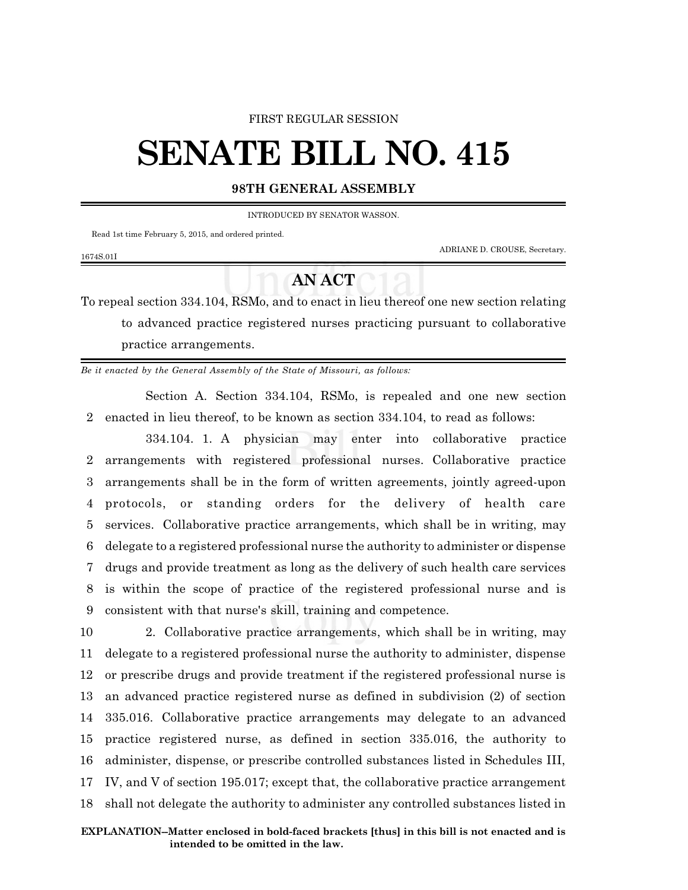## FIRST REGULAR SESSION

## **SENATE BILL NO. 415**

## **98TH GENERAL ASSEMBLY**

INTRODUCED BY SENATOR WASSON.

Read 1st time February 5, 2015, and ordered printed.

1674S.01I

ADRIANE D. CROUSE, Secretary.

## **AN ACT**

To repeal section 334.104, RSMo, and to enact in lieu thereof one new section relating to advanced practice registered nurses practicing pursuant to collaborative practice arrangements.

*Be it enacted by the General Assembly of the State of Missouri, as follows:*

Section A. Section 334.104, RSMo, is repealed and one new section 2 enacted in lieu thereof, to be known as section 334.104, to read as follows:

334.104. 1. A physician may enter into collaborative practice arrangements with registered professional nurses. Collaborative practice arrangements shall be in the form of written agreements, jointly agreed-upon protocols, or standing orders for the delivery of health care services. Collaborative practice arrangements, which shall be in writing, may delegate to a registered professional nurse the authority to administer or dispense drugs and provide treatment as long as the delivery of such health care services is within the scope of practice of the registered professional nurse and is consistent with that nurse's skill, training and competence.

 2. Collaborative practice arrangements, which shall be in writing, may delegate to a registered professional nurse the authority to administer, dispense or prescribe drugs and provide treatment if the registered professional nurse is an advanced practice registered nurse as defined in subdivision (2) of section 335.016. Collaborative practice arrangements may delegate to an advanced practice registered nurse, as defined in section 335.016, the authority to administer, dispense, or prescribe controlled substances listed in Schedules III, IV, and V of section 195.017; except that, the collaborative practice arrangement shall not delegate the authority to administer any controlled substances listed in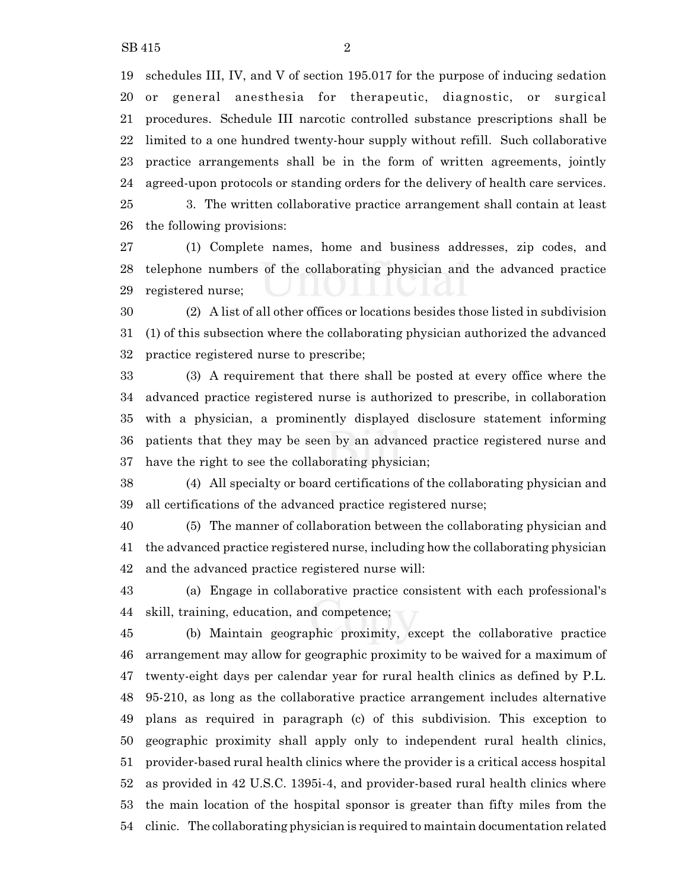schedules III, IV, and V of section 195.017 for the purpose of inducing sedation or general anesthesia for therapeutic, diagnostic, or surgical procedures. Schedule III narcotic controlled substance prescriptions shall be limited to a one hundred twenty-hour supply without refill. Such collaborative practice arrangements shall be in the form of written agreements, jointly agreed-upon protocols or standing orders for the delivery of health care services. 3. The written collaborative practice arrangement shall contain at least the following provisions:

 (1) Complete names, home and business addresses, zip codes, and telephone numbers of the collaborating physician and the advanced practice registered nurse;

 (2) A list of all other offices or locations besides those listed in subdivision (1) of this subsection where the collaborating physician authorized the advanced practice registered nurse to prescribe;

 (3) A requirement that there shall be posted at every office where the advanced practice registered nurse is authorized to prescribe, in collaboration with a physician, a prominently displayed disclosure statement informing patients that they may be seen by an advanced practice registered nurse and have the right to see the collaborating physician;

 (4) All specialty or board certifications of the collaborating physician and all certifications of the advanced practice registered nurse;

 (5) The manner of collaboration between the collaborating physician and the advanced practice registered nurse, including how the collaborating physician and the advanced practice registered nurse will:

 (a) Engage in collaborative practice consistent with each professional's skill, training, education, and competence;

 (b) Maintain geographic proximity, except the collaborative practice arrangement may allow for geographic proximity to be waived for a maximum of twenty-eight days per calendar year for rural health clinics as defined by P.L. 95-210, as long as the collaborative practice arrangement includes alternative plans as required in paragraph (c) of this subdivision. This exception to geographic proximity shall apply only to independent rural health clinics, provider-based rural health clinics where the provider is a critical access hospital as provided in 42 U.S.C. 1395i-4, and provider-based rural health clinics where the main location of the hospital sponsor is greater than fifty miles from the clinic. The collaborating physician is required to maintain documentation related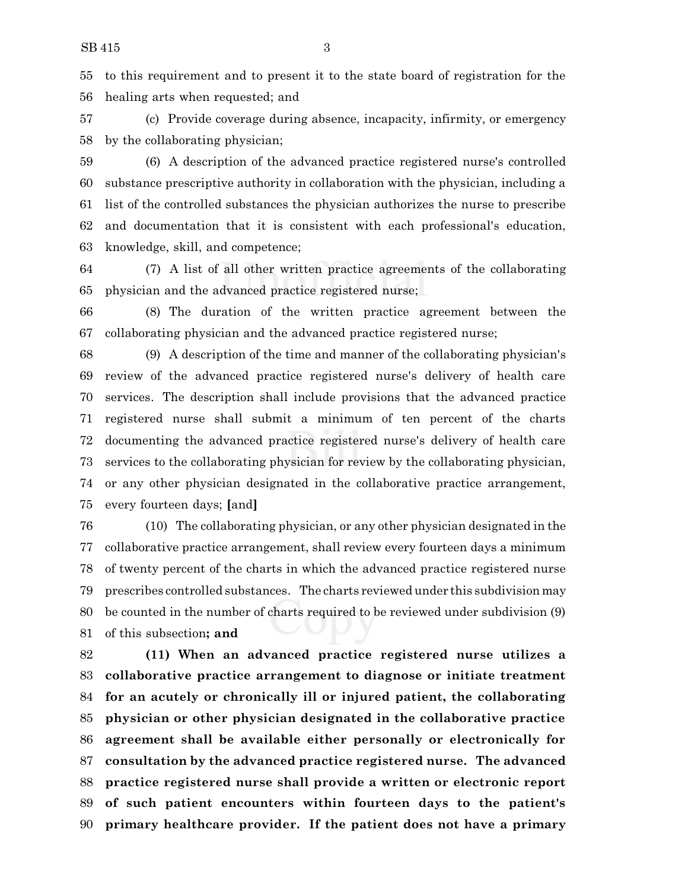to this requirement and to present it to the state board of registration for the healing arts when requested; and

 (c) Provide coverage during absence, incapacity, infirmity, or emergency by the collaborating physician;

 (6) A description of the advanced practice registered nurse's controlled substance prescriptive authority in collaboration with the physician, including a list of the controlled substances the physician authorizes the nurse to prescribe and documentation that it is consistent with each professional's education, knowledge, skill, and competence;

 (7) A list of all other written practice agreements of the collaborating physician and the advanced practice registered nurse;

 (8) The duration of the written practice agreement between the collaborating physician and the advanced practice registered nurse;

 (9) A description of the time and manner of the collaborating physician's review of the advanced practice registered nurse's delivery of health care services. The description shall include provisions that the advanced practice registered nurse shall submit a minimum of ten percent of the charts documenting the advanced practice registered nurse's delivery of health care services to the collaborating physician for review by the collaborating physician, or any other physician designated in the collaborative practice arrangement, every fourteen days; **[**and**]**

 (10) The collaborating physician, or any other physician designated in the collaborative practice arrangement, shall review every fourteen days a minimum of twenty percent of the charts in which the advanced practice registered nurse prescribes controlled substances. The charts reviewed under this subdivision may be counted in the number of charts required to be reviewed under subdivision (9) of this subsection**; and**

 **(11) When an advanced practice registered nurse utilizes a collaborative practice arrangement to diagnose or initiate treatment for an acutely or chronically ill or injured patient, the collaborating physician or other physician designated in the collaborative practice agreement shall be available either personally or electronically for consultation by the advanced practice registered nurse. The advanced practice registered nurse shall provide a written or electronic report of such patient encounters within fourteen days to the patient's primary healthcare provider. If the patient does not have a primary**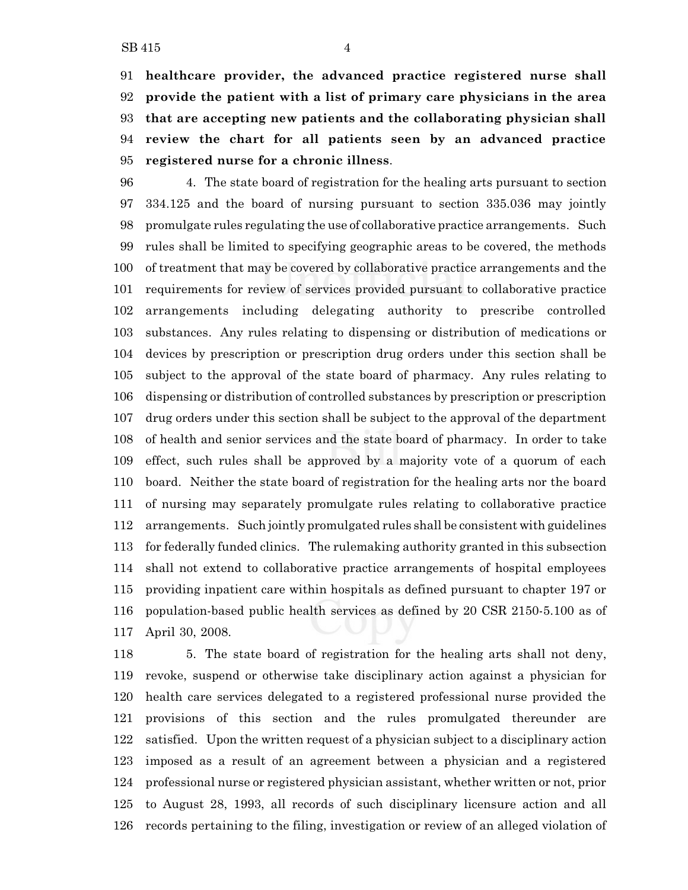**healthcare provider, the advanced practice registered nurse shall provide the patient with a list of primary care physicians in the area that are accepting new patients and the collaborating physician shall review the chart for all patients seen by an advanced practice registered nurse for a chronic illness**.

 4. The state board of registration for the healing arts pursuant to section 334.125 and the board of nursing pursuant to section 335.036 may jointly promulgate rules regulating the use of collaborative practice arrangements. Such rules shall be limited to specifying geographic areas to be covered, the methods of treatment that may be covered by collaborative practice arrangements and the requirements for review of services provided pursuant to collaborative practice arrangements including delegating authority to prescribe controlled substances. Any rules relating to dispensing or distribution of medications or devices by prescription or prescription drug orders under this section shall be subject to the approval of the state board of pharmacy. Any rules relating to dispensing or distribution of controlled substances by prescription or prescription drug orders under this section shall be subject to the approval of the department of health and senior services and the state board of pharmacy. In order to take effect, such rules shall be approved by a majority vote of a quorum of each board. Neither the state board of registration for the healing arts nor the board of nursing may separately promulgate rules relating to collaborative practice arrangements. Such jointly promulgated rules shall be consistent with guidelines for federally funded clinics. The rulemaking authority granted in this subsection shall not extend to collaborative practice arrangements of hospital employees providing inpatient care within hospitals as defined pursuant to chapter 197 or population-based public health services as defined by 20 CSR 2150-5.100 as of April 30, 2008.

 5. The state board of registration for the healing arts shall not deny, revoke, suspend or otherwise take disciplinary action against a physician for health care services delegated to a registered professional nurse provided the provisions of this section and the rules promulgated thereunder are satisfied. Upon the written request of a physician subject to a disciplinary action imposed as a result of an agreement between a physician and a registered professional nurse or registered physician assistant, whether written or not, prior to August 28, 1993, all records of such disciplinary licensure action and all records pertaining to the filing, investigation or review of an alleged violation of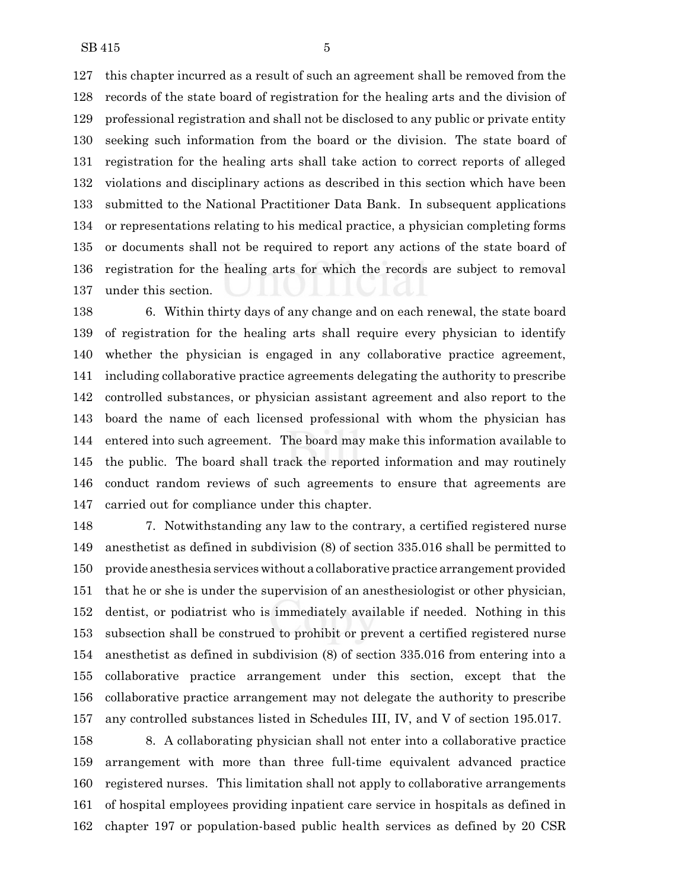this chapter incurred as a result of such an agreement shall be removed from the records of the state board of registration for the healing arts and the division of professional registration and shall not be disclosed to any public or private entity seeking such information from the board or the division. The state board of registration for the healing arts shall take action to correct reports of alleged violations and disciplinary actions as described in this section which have been submitted to the National Practitioner Data Bank. In subsequent applications or representations relating to his medical practice, a physician completing forms or documents shall not be required to report any actions of the state board of registration for the healing arts for which the records are subject to removal under this section.

 6. Within thirty days of any change and on each renewal, the state board of registration for the healing arts shall require every physician to identify whether the physician is engaged in any collaborative practice agreement, including collaborative practice agreements delegating the authority to prescribe controlled substances, or physician assistant agreement and also report to the board the name of each licensed professional with whom the physician has entered into such agreement. The board may make this information available to the public. The board shall track the reported information and may routinely conduct random reviews of such agreements to ensure that agreements are carried out for compliance under this chapter.

 7. Notwithstanding any law to the contrary, a certified registered nurse anesthetist as defined in subdivision (8) of section 335.016 shall be permitted to provide anesthesia services without a collaborative practice arrangement provided that he or she is under the supervision of an anesthesiologist or other physician, dentist, or podiatrist who is immediately available if needed. Nothing in this subsection shall be construed to prohibit or prevent a certified registered nurse anesthetist as defined in subdivision (8) of section 335.016 from entering into a collaborative practice arrangement under this section, except that the collaborative practice arrangement may not delegate the authority to prescribe any controlled substances listed in Schedules III, IV, and V of section 195.017.

 8. A collaborating physician shall not enter into a collaborative practice arrangement with more than three full-time equivalent advanced practice registered nurses. This limitation shall not apply to collaborative arrangements of hospital employees providing inpatient care service in hospitals as defined in chapter 197 or population-based public health services as defined by 20 CSR